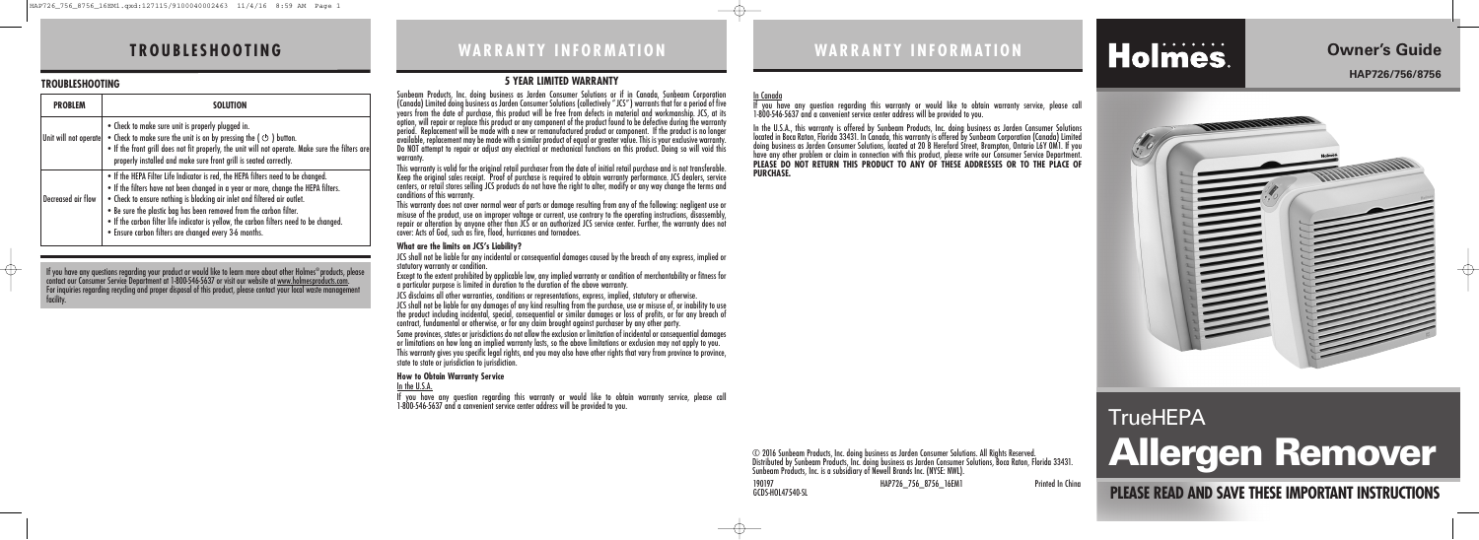### **WA R R A N T Y I N F O R M AT I O N**

**PLEASE READ AND SAVE THESE IMPORTANT INSTRUCTIONS**

# **TrueHEPA Allergen Remover**

# **Owner's Guide**

**HAP726/756/8756**

↔

# **WA R R A N T Y I N F O R M AT I O N**

# Holmes.

# **T R O U B LE S H O O T I N G**

#### **TROUBLESHOOTING**

| <b>PROBLEM</b>        | <b>SOLUTION</b>                                                                                                                                                                                                                                                                                                                                                                                                                                                              |
|-----------------------|------------------------------------------------------------------------------------------------------------------------------------------------------------------------------------------------------------------------------------------------------------------------------------------------------------------------------------------------------------------------------------------------------------------------------------------------------------------------------|
| Unit will not operate | • Check to make sure unit is properly plugged in.<br>• Check to make sure the unit is on by pressing the $\phi$ ) button.<br>. If the front grill does not fit properly, the unit will not operate. Make sure the filters are<br>properly installed and make sure front grill is seated correctly.                                                                                                                                                                           |
| Decreased air flow    | . If the HEPA Filter Life Indicator is red, the HEPA filters need to be changed.<br>. If the filters have not been changed in a year or more, change the HEPA filters.<br>. Check to ensure nothing is blocking air inlet and filtered air outlet.<br>. Be sure the plastic bag has been removed from the carbon filter.<br>. If the carbon filter life indicator is yellow, the carbon filters need to be changed.<br>. Ensure carbon filters are changed every 3-6 months. |

#### **5 YEAR LIMITED WARRANTY**

This warranty is valid for the original retail purchaser from the date of initial retail purchase and is not transferable.<br>Keep the original sales receipt. Proof of purchase is required to obtain warranty performance. JCS centers, or retail stores selling JCS products do not have the right to alter, modify or any way change the terms and conditions of this warranty.

JCS shall not be liable for any incidental or consequential damages caused by the breach of any express, implied or statutory warranty or condition

Sunbeam Products, Inc. doing business as Jarden Consumer Solutions or if in Canada, Sunbeam Corporation (Canada) Limited doing business as Jarden Consumer Solutions (collectively "JCS") warrants that for a period of five years from the date of purchase, this product will be free from defects in material and workmanship. JCS, at its option, will repair or replace this product or any component of the product found to be defective during the warranty period. Replacement will be made with a new or remanufactured product or component. If the product is no longer available, replacement may be made with a similar product of equal or greater value. This is your exclusive warranty. Do NOT attempt to repair or adjust any electrical or mechanical functions on this product. Doing so will void this warranty.

Some provinces, states or jurisdictions do not allow the exclusion or limitation of incidental or consequential damages or limitations on how long an implied warranty lasts, so the above limitations or exclusion may not apply to you. This warranty gives you specific legal rights, and you may also have other rights that vary from province to province, state to state or jurisdiction to jurisdiction.

This warranty does not cover normal wear of parts or damage resulting from any of the following: negligent use or misuse of the product, use on improper voltage or current, use contrary to the operating instructions, disassembly, repair or alteration by anyone other than JCS or an authorized JCS service center. Further, the warranty does not cover: Acts of God, such as fire, flood, hurricanes and tornadoes.

#### **What are the limits on JCS's Liability?**

Except to the extent prohibited by applicable law, any implied warranty or condition of merchantability or fitness for a particular purpose is limited in duration to the duration of the above warranty.

JCS disclaims all other warranties, conditions or representations, express, implied, statutory or otherwise.

JCS shall not be liable for any damages of any kind resulting from the purchase, use or misuse of, or inability to use the product including incidental, special, consequential or similar damages or loss of profits, or for any breach of contract, fundamental or otherwise, or for any claim brought against purchaser by any other party.

#### **How to Obtain Warranty Service**

In the U.S.A.

If you have any question regarding this warranty or would like to obtain warranty service, please call 1-800-546-5637 and a convenient service center address will be provided to you.

190197 HAP726\_756\_8756\_16EM1 Printed In China

GCDS-HOL47540-SL

# In Canada

If you have any question regarding this warranty or would like to obtain warranty service, please call 1-800-546-5637 and a convenient service center address will be provided to you.



In the U.S.A., this warranty is offered by Sunbeam Products, Inc. doing business as Jarden Consumer Solutions located in Boca Raton, Florida 33431. In Canada, this warranty is offered by Sunbeam Corporation (Canada) Limited doing business as Jarden Consumer Solutions, located at 20 B Hereford Street, Brampton, Ontario L6Y 0M1. If you have any other problem or claim in connection with this product, please write our Consumer Service Department. **PLEASE DO NOT RETURN THIS PRODUCT TO ANY OF THESE ADDRESSES OR TO THE PLACE OF PURCHASE.**

#### © 2016 Sunbeam Products, Inc. doing business as Jarden Consumer Solutions. All Rights Reserved. Distributed by Sunbeam Products, Inc. doing business as Jarden Consumer Solutions, Boca Raton, Florida 33431. Sunbeam Products, Inc. is a subsidiary of Newell Brands Inc. (NYSE: NWL).

If you have any questions regarding your product or would like to learn more about other Holmes ®products, please contact our Consumer Service Department at 1-800-546-5637 or visit our website at <u>www.holmesproducts.com</u>. For inquiries regarding recycling and proper disposal of this product, please contact your local waste management facility.